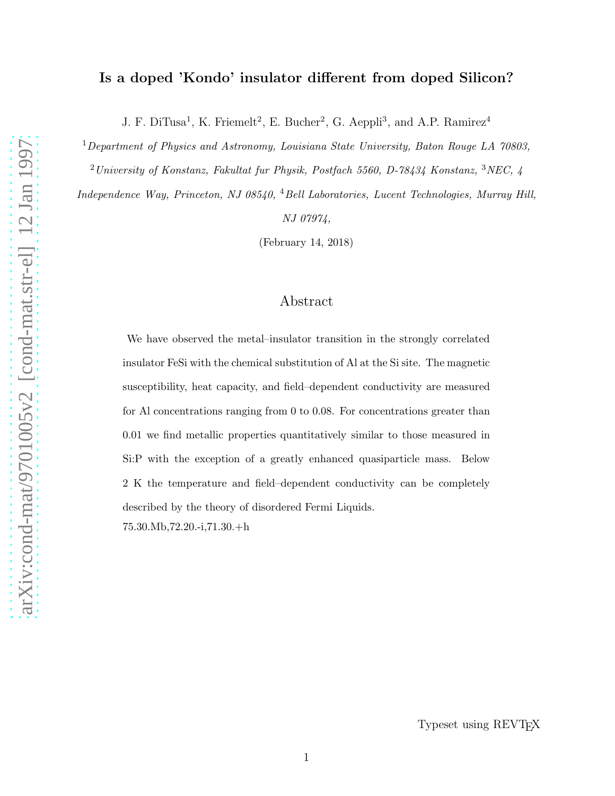## Is a doped 'Kondo' insulator different from doped Silicon?

J. F. DiTusa<sup>1</sup>, K. Friemelt<sup>2</sup>, E. Bucher<sup>2</sup>, G. Aeppli<sup>3</sup>, and A.P. Ramirez<sup>4</sup>

 $1$ Department of Physics and Astronomy, Louisiana State University, Baton Rouge LA 70803,  $^{2}$ University of Konstanz, Fakultat fur Physik, Postfach 5560, D-78434 Konstanz,  $^{3}$ NEC, 4

Independence Way, Princeton, NJ 08540, <sup>4</sup>Bell Laboratories, Lucent Technologies, Murray Hill, NJ 07974,

(February 14, 2018)

# Abstract

We have observed the metal–insulator transition in the strongly correlated insulator FeSi with the chemical substitution of Al at the Si site. The magnetic susceptibility, heat capacity, and field–dependent conductivity are measured for Al concentrations ranging from 0 to 0.08. For concentrations greater than 0.01 we find metallic properties quantitatively similar to those measured in Si:P with the exception of a greatly enhanced quasiparticle mass. Below 2 K the temperature and field–dependent conductivity can be completely described by the theory of disordered Fermi Liquids. 75.30.Mb,72.20.-i,71.30.+h

Typeset using REVT<sub>F</sub>X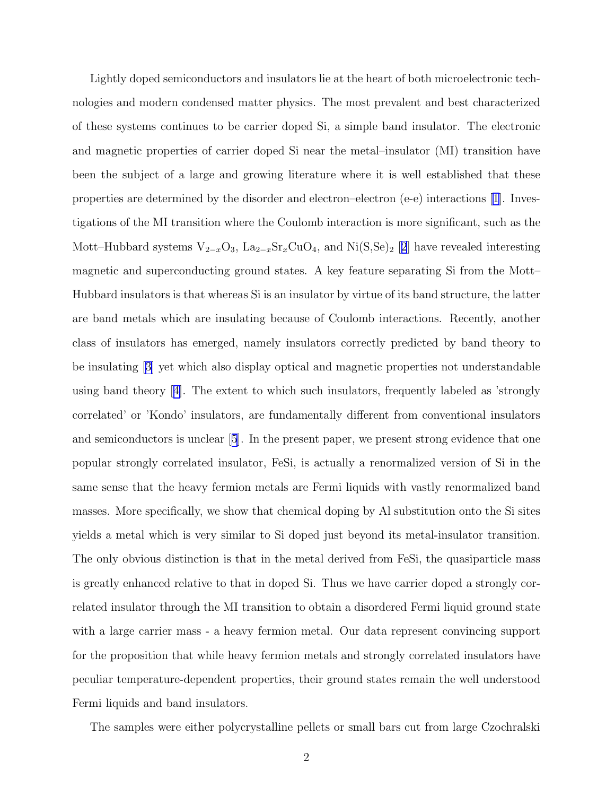Lightly doped semiconductors and insulators lie at the heart of both microelectronic technologies and modern condensed matter physics. The most prevalent and best characterized of these systems continues to be carrier doped Si, a simple band insulator. The electronic and magnetic properties of carrier doped Si near the metal–insulator (MI) transition have been the subject of a large and growing literature where it is well established that these properties are determined by the disorder and electron–electron (e-e) interactions[[1\]](#page-7-0). Investigations of the MI transition where the Coulomb interaction is more significant, such as the Mott–Hubbard systems  $V_{2-x}O_3$  $V_{2-x}O_3$  $V_{2-x}O_3$ , La<sub>2-x</sub>Sr<sub>x</sub>CuO<sub>4</sub>, and Ni(S,Se)<sub>2</sub> [2] have revealed interesting magnetic and superconducting ground states. A key feature separating Si from the Mott– Hubbard insulators is that whereas Si is an insulator by virtue of its band structure, the latter are band metals which are insulating because of Coulomb interactions. Recently, another class of insulators has emerged, namely insulators correctly predicted by band theory to be insulating[[3\]](#page-7-0) yet which also display optical and magnetic properties not understandable using band theory[[4\]](#page-7-0). The extent to which such insulators, frequently labeled as 'strongly correlated' or 'Kondo' insulators, are fundamentally different from conventional insulators and semiconductors is unclear[[5](#page-7-0)]. In the present paper, we present strong evidence that one popular strongly correlated insulator, FeSi, is actually a renormalized version of Si in the same sense that the heavy fermion metals are Fermi liquids with vastly renormalized band masses. More specifically, we show that chemical doping by Al substitution onto the Si sites yields a metal which is very similar to Si doped just beyond its metal-insulator transition. The only obvious distinction is that in the metal derived from FeSi, the quasiparticle mass is greatly enhanced relative to that in doped Si. Thus we have carrier doped a strongly correlated insulator through the MI transition to obtain a disordered Fermi liquid ground state with a large carrier mass - a heavy fermion metal. Our data represent convincing support for the proposition that while heavy fermion metals and strongly correlated insulators have peculiar temperature-dependent properties, their ground states remain the well understood Fermi liquids and band insulators.

The samples were either polycrystalline pellets or small bars cut from large Czochralski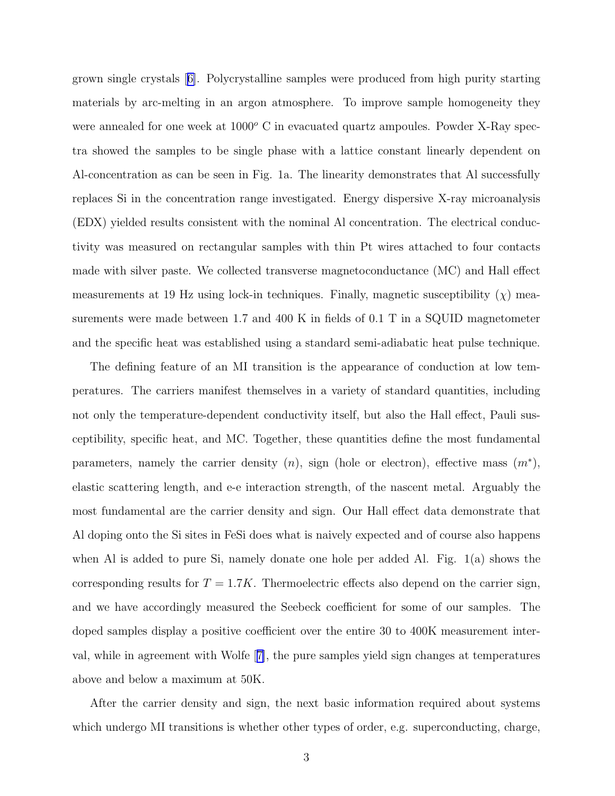grown single crystals[[6\]](#page-7-0). Polycrystalline samples were produced from high purity starting materials by arc-melting in an argon atmosphere. To improve sample homogeneity they were annealed for one week at  $1000^{\circ}$  C in evacuated quartz ampoules. Powder X-Ray spectra showed the samples to be single phase with a lattice constant linearly dependent on Al-concentration as can be seen in Fig. 1a. The linearity demonstrates that Al successfully replaces Si in the concentration range investigated. Energy dispersive X-ray microanalysis (EDX) yielded results consistent with the nominal Al concentration. The electrical conductivity was measured on rectangular samples with thin Pt wires attached to four contacts made with silver paste. We collected transverse magnetoconductance (MC) and Hall effect measurements at 19 Hz using lock-in techniques. Finally, magnetic susceptibility  $(\chi)$  measurements were made between 1.7 and 400 K in fields of 0.1 T in a SQUID magnetometer and the specific heat was established using a standard semi-adiabatic heat pulse technique.

The defining feature of an MI transition is the appearance of conduction at low temperatures. The carriers manifest themselves in a variety of standard quantities, including not only the temperature-dependent conductivity itself, but also the Hall effect, Pauli susceptibility, specific heat, and MC. Together, these quantities define the most fundamental parameters, namely the carrier density  $(n)$ , sign (hole or electron), effective mass  $(m^*)$ , elastic scattering length, and e-e interaction strength, of the nascent metal. Arguably the most fundamental are the carrier density and sign. Our Hall effect data demonstrate that Al doping onto the Si sites in FeSi does what is naively expected and of course also happens when Al is added to pure Si, namely donate one hole per added Al. Fig. 1(a) shows the corresponding results for  $T = 1.7K$ . Thermoelectric effects also depend on the carrier sign, and we have accordingly measured the Seebeck coefficient for some of our samples. The doped samples display a positive coefficient over the entire 30 to 400K measurement interval, while in agreement with Wolfe[[7\]](#page-7-0), the pure samples yield sign changes at temperatures above and below a maximum at 50K.

After the carrier density and sign, the next basic information required about systems which undergo MI transitions is whether other types of order, e.g. superconducting, charge,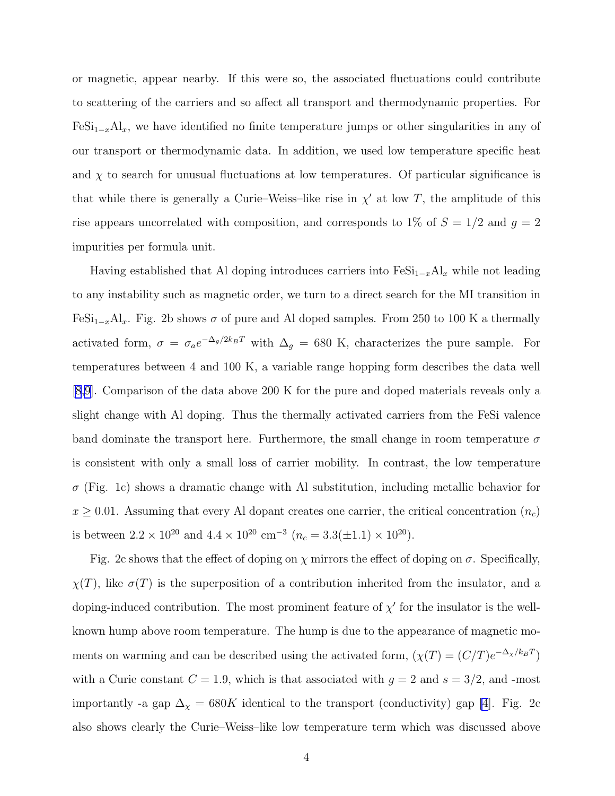or magnetic, appear nearby. If this were so, the associated fluctuations could contribute to scattering of the carriers and so affect all transport and thermodynamic properties. For  $Fesi_{1-x}Al_x$ , we have identified no finite temperature jumps or other singularities in any of our transport or thermodynamic data. In addition, we used low temperature specific heat and  $\chi$  to search for unusual fluctuations at low temperatures. Of particular significance is that while there is generally a Curie–Weiss–like rise in  $\chi'$  at low T, the amplitude of this rise appears uncorrelated with composition, and corresponds to 1% of  $S = 1/2$  and  $g = 2$ impurities per formula unit.

Having established that Al doping introduces carriers into  $Fesi_{1-x}Al_x$  while not leading to any instability such as magnetic order, we turn to a direct search for the MI transition in FeSi<sub>1−x</sub>Al<sub>x</sub>. Fig. 2b shows  $\sigma$  of pure and Al doped samples. From 250 to 100 K a thermally activated form,  $\sigma = \sigma_a e^{-\Delta_g/2k_BT}$  with  $\Delta_g = 680$  K, characterizes the pure sample. For temperatures between 4 and 100 K, a variable range hopping form describes the data well [\[8,9](#page-7-0)]. Comparison of the data above 200 K for the pure and doped materials reveals only a slight change with Al doping. Thus the thermally activated carriers from the FeSi valence band dominate the transport here. Furthermore, the small change in room temperature  $\sigma$ is consistent with only a small loss of carrier mobility. In contrast, the low temperature  $\sigma$  (Fig. 1c) shows a dramatic change with Al substitution, including metallic behavior for  $x \geq 0.01$ . Assuming that every Al dopant creates one carrier, the critical concentration  $(n_c)$ is between  $2.2 \times 10^{20}$  and  $4.4 \times 10^{20}$  cm<sup>-3</sup> ( $n_c = 3.3(\pm 1.1) \times 10^{20}$ ).

Fig. 2c shows that the effect of doping on  $\chi$  mirrors the effect of doping on  $\sigma$ . Specifically,  $\chi(T)$ , like  $\sigma(T)$  is the superposition of a contribution inherited from the insulator, and a doping-induced contribution. The most prominent feature of  $\chi'$  for the insulator is the wellknown hump above room temperature. The hump is due to the appearance of magnetic moments on warming and can be described using the activated form,  $(\chi(T) = (C/T)e^{-\Delta_{\chi}/k_BT})$ with a Curie constant  $C = 1.9$ , which is that associated with  $g = 2$  and  $s = 3/2$ , and -most importantly -a gap  $\Delta_{\chi} = 680K$  identical to the transport (conductivity) gap [\[4](#page-7-0)]. Fig. 2c also shows clearly the Curie–Weiss–like low temperature term which was discussed above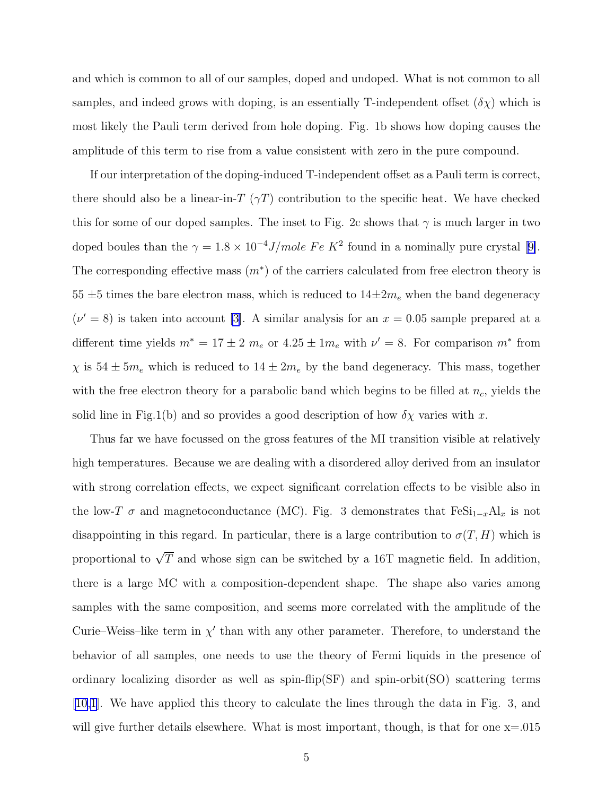and which is common to all of our samples, doped and undoped. What is not common to all samples, and indeed grows with doping, is an essentially T-independent offset  $(\delta \chi)$  which is most likely the Pauli term derived from hole doping. Fig. 1b shows how doping causes the amplitude of this term to rise from a value consistent with zero in the pure compound.

If our interpretation of the doping-induced T-independent offset as a Pauli term is correct, there should also be a linear-in-T  $(\gamma T)$  contribution to the specific heat. We have checked this for some of our doped samples. The inset to Fig. 2c shows that  $\gamma$  is much larger in two dopedboules than the  $\gamma = 1.8 \times 10^{-4} J/mole \ Fe \ K^2$  found in a nominally pure crystal [[9\]](#page-7-0). The corresponding effective mass  $(m^*)$  of the carriers calculated from free electron theory is 55  $\pm$ 5 times the bare electron mass, which is reduced to  $14\pm 2m_e$  when the band degeneracy  $(\nu' = 8)$  is taken into account [\[3\]](#page-7-0). A similar analysis for an  $x = 0.05$  sample prepared at a different time yields  $m^* = 17 \pm 2$   $m_e$  or  $4.25 \pm 1 m_e$  with  $\nu' = 8$ . For comparison  $m^*$  from  $\chi$  is  $54 \pm 5m_e$  which is reduced to  $14 \pm 2m_e$  by the band degeneracy. This mass, together with the free electron theory for a parabolic band which begins to be filled at  $n_c$ , yields the solid line in Fig.1(b) and so provides a good description of how  $\delta \chi$  varies with x.

Thus far we have focussed on the gross features of the MI transition visible at relatively high temperatures. Because we are dealing with a disordered alloy derived from an insulator with strong correlation effects, we expect significant correlation effects to be visible also in the low-T  $\sigma$  and magnetoconductance (MC). Fig. 3 demonstrates that  $\text{FeSi}_{1-x} \text{Al}_x$  is not disappointing in this regard. In particular, there is a large contribution to  $\sigma(T, H)$  which is proportional to  $\sqrt{T}$  and whose sign can be switched by a 16T magnetic field. In addition, there is a large MC with a composition-dependent shape. The shape also varies among samples with the same composition, and seems more correlated with the amplitude of the Curie–Weiss–like term in  $\chi'$  than with any other parameter. Therefore, to understand the behavior of all samples, one needs to use the theory of Fermi liquids in the presence of ordinary localizing disorder as well as spin-flip( $SF$ ) and spin-orbit( $SO$ ) scattering terms [\[10,1](#page-7-0)]. We have applied this theory to calculate the lines through the data in Fig. 3, and will give further details elsewhere. What is most important, though, is that for one  $x=0.015$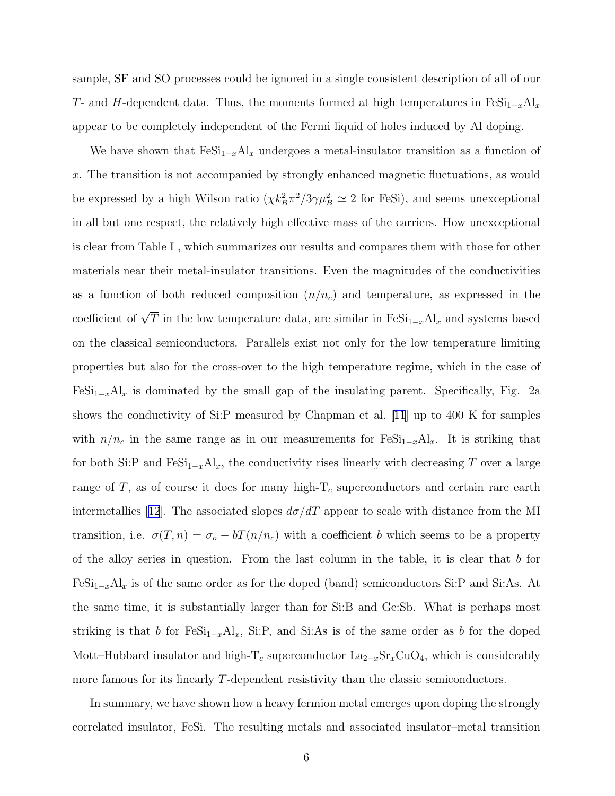sample, SF and SO processes could be ignored in a single consistent description of all of our T- and H-dependent data. Thus, the moments formed at high temperatures in  $\text{FeSi}_{1-x}\text{Al}_x$ appear to be completely independent of the Fermi liquid of holes induced by Al doping.

We have shown that  $Fesi_{1-x}Al_x$  undergoes a metal-insulator transition as a function of x. The transition is not accompanied by strongly enhanced magnetic fluctuations, as would be expressed by a high Wilson ratio  $(\chi k_B^2 \pi^2/3\gamma \mu_B^2 \simeq 2$  for FeSi), and seems unexceptional in all but one respect, the relatively high effective mass of the carriers. How unexceptional is clear from Table I , which summarizes our results and compares them with those for other materials near their metal-insulator transitions. Even the magnitudes of the conductivities as a function of both reduced composition  $(n/n_c)$  and temperature, as expressed in the coefficient of  $\sqrt{T}$  in the low temperature data, are similar in  $\text{FeSi}_{1-x} \text{Al}_x$  and systems based on the classical semiconductors. Parallels exist not only for the low temperature limiting properties but also for the cross-over to the high temperature regime, which in the case of  $Fesi_{1-x}Al_x$  is dominated by the small gap of the insulating parent. Specifically, Fig. 2a shows the conductivity of Si:P measured by Chapman et al. [\[11](#page-7-0)] up to 400 K for samples with  $n/n_c$  in the same range as in our measurements for  $\text{FeSi}_{1-x}Al_x$ . It is striking that for both Si:P and FeSi<sub>1−x</sub>Al<sub>x</sub>, the conductivity rises linearly with decreasing T over a large range of T, as of course it does for many high- $T_c$  superconductors and certain rare earth intermetallics[[12](#page-7-0)]. The associated slopes  $d\sigma/dT$  appear to scale with distance from the MI transition, i.e.  $\sigma(T, n) = \sigma_o - bT(n/n_c)$  with a coefficient b which seems to be a property of the alloy series in question. From the last column in the table, it is clear that  $b$  for  $Fesi_{1-x}Al_x$  is of the same order as for the doped (band) semiconductors Si:P and Si:As. At the same time, it is substantially larger than for Si:B and Ge:Sb. What is perhaps most striking is that b for  $Fesi_{1-x}Al_x$ , Si:P, and Si:As is of the same order as b for the doped Mott–Hubbard insulator and high-T<sub>c</sub> superconductor  $\text{La}_{2-x}\text{Sr}_{x}\text{CuO}_{4}$ , which is considerably more famous for its linearly T-dependent resistivity than the classic semiconductors.

In summary, we have shown how a heavy fermion metal emerges upon doping the strongly correlated insulator, FeSi. The resulting metals and associated insulator–metal transition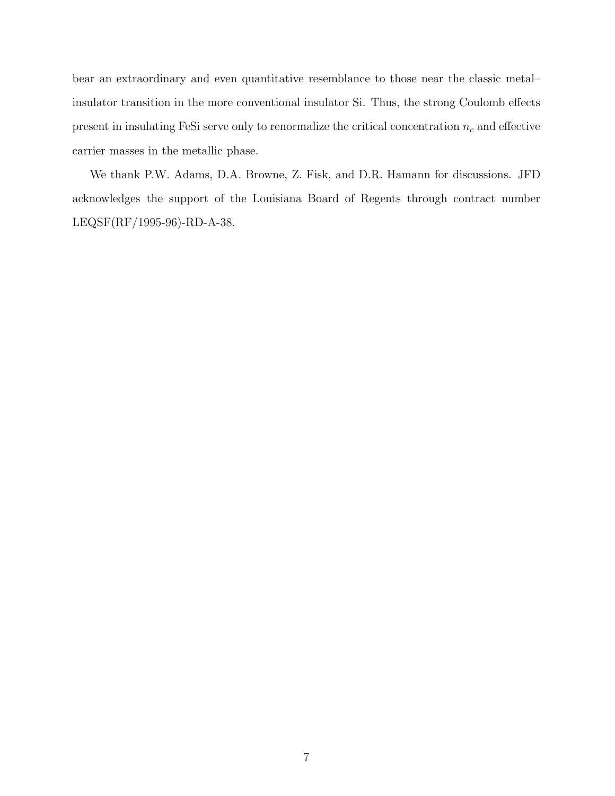bear an extraordinary and even quantitative resemblance to those near the classic metal– insulator transition in the more conventional insulator Si. Thus, the strong Coulomb effects present in insulating FeSi serve only to renormalize the critical concentration  $n_c$  and effective carrier masses in the metallic phase.

We thank P.W. Adams, D.A. Browne, Z. Fisk, and D.R. Hamann for discussions. JFD acknowledges the support of the Louisiana Board of Regents through contract number LEQSF(RF/1995-96)-RD-A-38.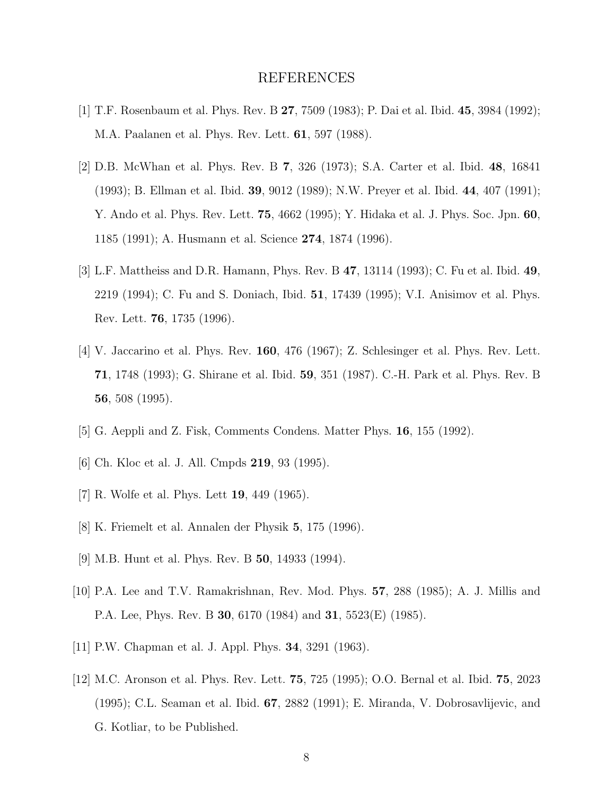## REFERENCES

- <span id="page-7-0"></span>[1] T.F. Rosenbaum et al. Phys. Rev. B 27, 7509 (1983); P. Dai et al. Ibid. 45, 3984 (1992); M.A. Paalanen et al. Phys. Rev. Lett. 61, 597 (1988).
- [2] D.B. McWhan et al. Phys. Rev. B 7, 326 (1973); S.A. Carter et al. Ibid. 48, 16841 (1993); B. Ellman et al. Ibid. 39, 9012 (1989); N.W. Preyer et al. Ibid. 44, 407 (1991); Y. Ando et al. Phys. Rev. Lett. 75, 4662 (1995); Y. Hidaka et al. J. Phys. Soc. Jpn. 60, 1185 (1991); A. Husmann et al. Science 274, 1874 (1996).
- [3] L.F. Mattheiss and D.R. Hamann, Phys. Rev. B 47, 13114 (1993); C. Fu et al. Ibid. 49, 2219 (1994); C. Fu and S. Doniach, Ibid. 51, 17439 (1995); V.I. Anisimov et al. Phys. Rev. Lett. 76, 1735 (1996).
- [4] V. Jaccarino et al. Phys. Rev. 160, 476 (1967); Z. Schlesinger et al. Phys. Rev. Lett. 71, 1748 (1993); G. Shirane et al. Ibid. 59, 351 (1987). C.-H. Park et al. Phys. Rev. B 56, 508 (1995).
- [5] G. Aeppli and Z. Fisk, Comments Condens. Matter Phys. 16, 155 (1992).
- [6] Ch. Kloc et al. J. All. Cmpds 219, 93 (1995).
- [7] R. Wolfe et al. Phys. Lett 19, 449 (1965).
- [8] K. Friemelt et al. Annalen der Physik 5, 175 (1996).
- [9] M.B. Hunt et al. Phys. Rev. B 50, 14933 (1994).
- [10] P.A. Lee and T.V. Ramakrishnan, Rev. Mod. Phys. 57, 288 (1985); A. J. Millis and P.A. Lee, Phys. Rev. B 30, 6170 (1984) and 31, 5523(E) (1985).
- [11] P.W. Chapman et al. J. Appl. Phys. 34, 3291 (1963).
- [12] M.C. Aronson et al. Phys. Rev. Lett. 75, 725 (1995); O.O. Bernal et al. Ibid. 75, 2023 (1995); C.L. Seaman et al. Ibid. 67, 2882 (1991); E. Miranda, V. Dobrosavlijevic, and G. Kotliar, to be Published.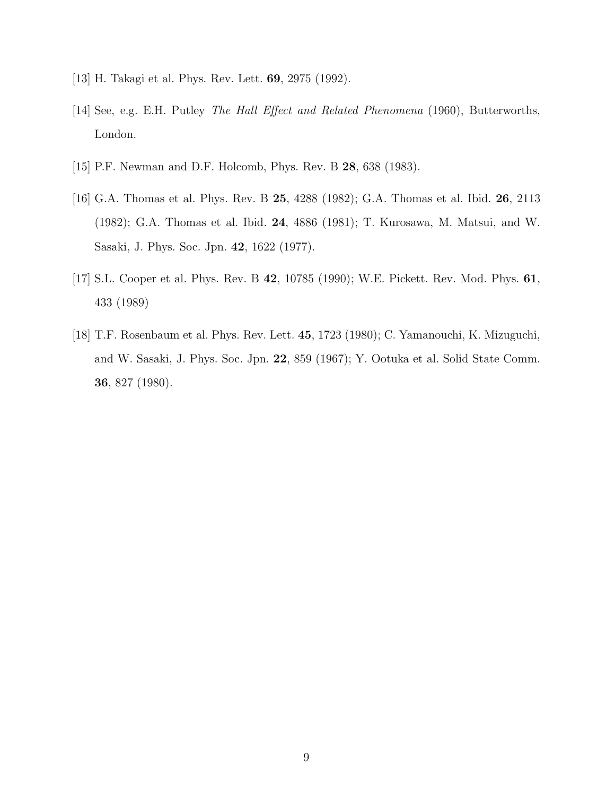- <span id="page-8-0"></span>[13] H. Takagi et al. Phys. Rev. Lett. 69, 2975 (1992).
- [14] See, e.g. E.H. Putley *The Hall Effect and Related Phenomena* (1960), Butterworths, London.
- [15] P.F. Newman and D.F. Holcomb, Phys. Rev. B 28, 638 (1983).
- [16] G.A. Thomas et al. Phys. Rev. B 25, 4288 (1982); G.A. Thomas et al. Ibid. 26, 2113 (1982); G.A. Thomas et al. Ibid. 24, 4886 (1981); T. Kurosawa, M. Matsui, and W. Sasaki, J. Phys. Soc. Jpn. 42, 1622 (1977).
- [17] S.L. Cooper et al. Phys. Rev. B 42, 10785 (1990); W.E. Pickett. Rev. Mod. Phys. 61, 433 (1989)
- [18] T.F. Rosenbaum et al. Phys. Rev. Lett. 45, 1723 (1980); C. Yamanouchi, K. Mizuguchi, and W. Sasaki, J. Phys. Soc. Jpn. 22, 859 (1967); Y. Ootuka et al. Solid State Comm. 36, 827 (1980).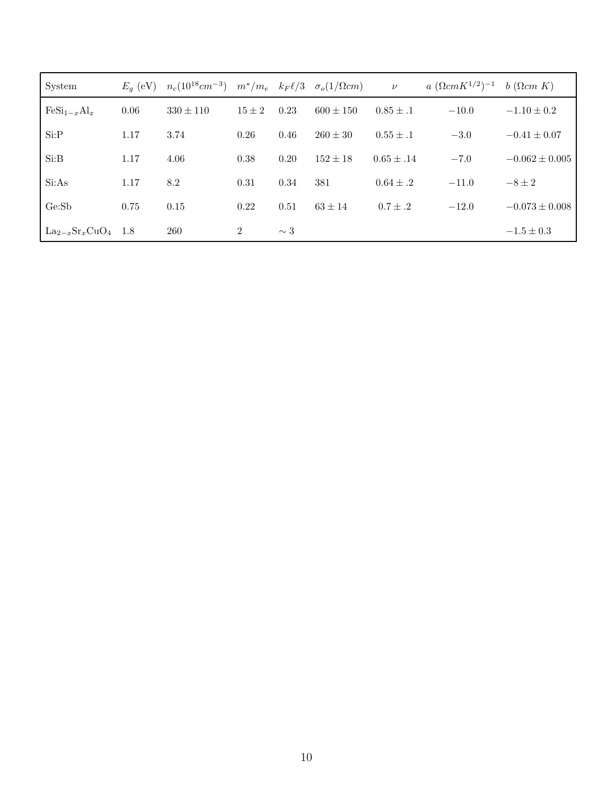| System                                         | $E_q$ (eV) | $n_c(10^{18}cm^{-3})$ $m^*/m_e$ $k_F\ell/3$ $\sigma_o(1/\Omega cm)$ |                |          |               | $\nu$          | $a \ (\Omega cm K^{1/2})^{-1}$ | $b$ ( $\Omega$ <i>cm</i> $K$ ) |
|------------------------------------------------|------------|---------------------------------------------------------------------|----------------|----------|---------------|----------------|--------------------------------|--------------------------------|
| $\text{FeSi}_{1-x}\text{Al}_x$                 | 0.06       | $330 \pm 110$                                                       | $15 \pm 2$     | 0.23     | $600 \pm 150$ | $0.85 \pm .1$  | $-10.0$                        | $-1.10 \pm 0.2$                |
| $Si$ : $P$                                     | 1.17       | 3.74                                                                | 0.26           | 0.46     | $260 \pm 30$  | $0.55 \pm .1$  | $-3.0$                         | $-0.41 \pm 0.07$               |
| Si:B                                           | 1.17       | 4.06                                                                | 0.38           | 0.20     | $152 \pm 18$  | $0.65 \pm .14$ | $-7.0$                         | $-0.062 \pm 0.005$             |
| Si:As                                          | 1.17       | 8.2                                                                 | 0.31           | 0.34     | 381           | $0.64 \pm .2$  | $-11.0$                        | $-8\pm 2$                      |
| Ge:Sb                                          | 0.75       | 0.15                                                                | 0.22           | 0.51     | $63 \pm 14$   | $0.7 \pm .2$   | $-12.0$                        | $-0.073 \pm 0.008$             |
| $\text{La}_{2-x}\text{Sr}_{x}\text{CuO}_4$ 1.8 |            | 260                                                                 | $\overline{2}$ | $\sim$ 3 |               |                |                                | $-1.5 \pm 0.3$                 |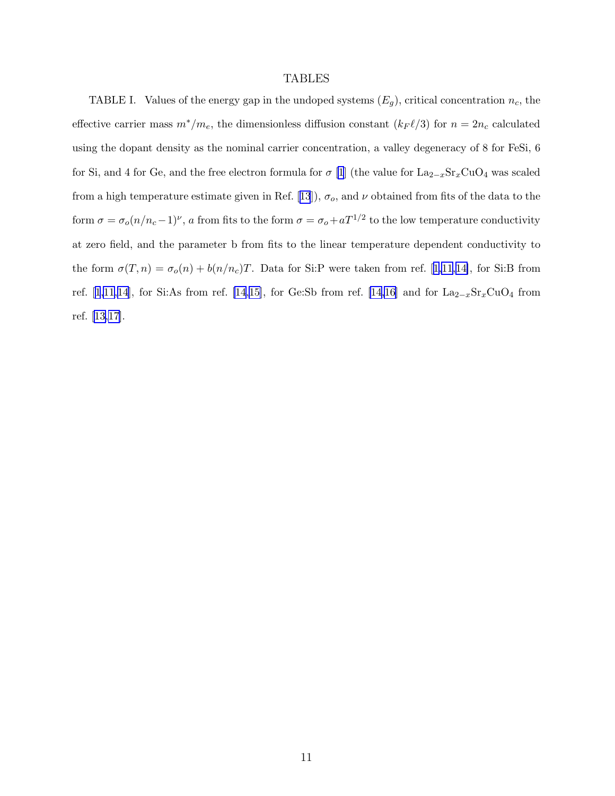### TABLES

TABLE I. Values of the energy gap in the undoped systems  $(E_g)$ , critical concentration  $n_c$ , the effective carrier mass  $m^*/m_e$ , the dimensionless diffusion constant  $(k_F \ell/3)$  for  $n = 2n_c$  calculated using the dopant density as the nominal carrier concentration, a valley degeneracy of 8 for FeSi, 6 for Si, and 4 for Ge, and the free electron formula for  $\sigma$  [\[1](#page-7-0)] (the value for La<sub>2−x</sub>Sr<sub>x</sub>CuO<sub>4</sub> was scaled froma high temperature estimate given in Ref. [[13](#page-8-0)]),  $\sigma_o$ , and  $\nu$  obtained from fits of the data to the form  $\sigma = \sigma_o (n/n_c - 1)^{\nu}$ , a from fits to the form  $\sigma = \sigma_o + aT^{1/2}$  to the low temperature conductivity at zero field, and the parameter b from fits to the linear temperature dependent conductivity to theform  $\sigma(T, n) = \sigma_o(n) + b(n/n_c)T$ . Data for Si:P were taken from ref. [[1,11,](#page-7-0)[14\]](#page-8-0), for Si:B from ref.[[1,11](#page-7-0)[,14\]](#page-8-0), for Si:As from ref. [\[14,15\]](#page-8-0), for Ge:Sb from ref. [\[14,16\]](#page-8-0) and for  $\text{La}_{2-x}\text{Sr}_{x}\text{CuO}_{4}$  from ref. [\[13,17\]](#page-8-0).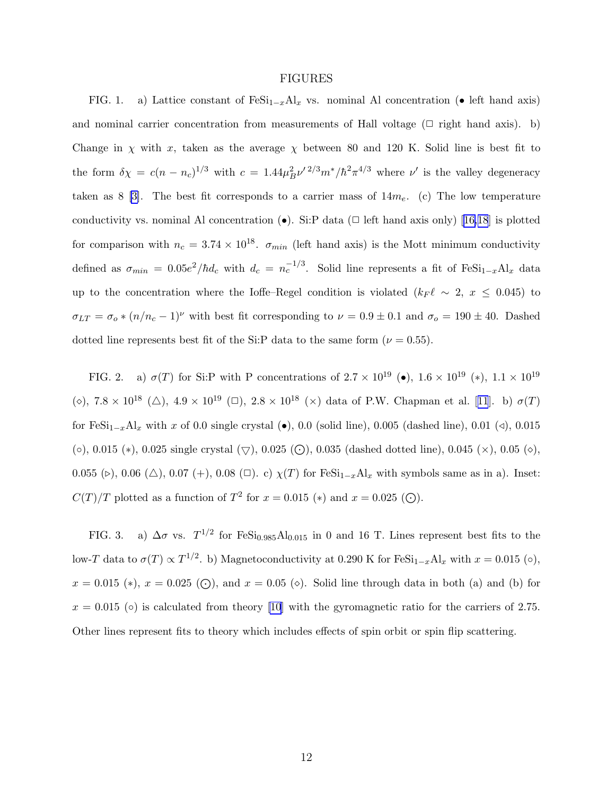#### FIGURES

FIG. 1. a) Lattice constant of  $Fesi_{1-x}Al_x$  vs. nominal Al concentration (• left hand axis) and nominal carrier concentration from measurements of Hall voltage  $(\Box$  right hand axis). b) Change in  $\chi$  with x, taken as the average  $\chi$  between 80 and 120 K. Solid line is best fit to the form  $\delta \chi = c(n - n_c)^{1/3}$  with  $c = 1.44 \mu_B^2 \nu'^{2/3} m^* / \hbar^2 \pi^{4/3}$  where  $\nu'$  is the valley degeneracy taken as 8 [\[3\]](#page-7-0). The best fit corresponds to a carrier mass of  $14m_e$ . (c) The low temperature conductivityvs. nominal Al concentration  $\left( \bullet \right)$ . Si:P data ( $\Box$  left hand axis only) [[16,18](#page-8-0)] is plotted for comparison with  $n_c = 3.74 \times 10^{18}$ .  $\sigma_{min}$  (left hand axis) is the Mott minimum conductivity defined as  $\sigma_{min} = 0.05e^2/\hbar d_c$  with  $d_c = n_c^{-1/3}$ . Solid line represents a fit of FeSi<sub>1-x</sub>Al<sub>x</sub> data up to the concentration where the Ioffe–Regel condition is violated ( $k_F \ell \sim 2$ ,  $x \leq 0.045$ ) to  $\sigma_{LT} = \sigma_o * (n/n_c - 1)^{\nu}$  with best fit corresponding to  $\nu = 0.9 \pm 0.1$  and  $\sigma_o = 190 \pm 40$ . Dashed dotted line represents best fit of the Si:P data to the same form  $(\nu = 0.55)$ .

FIG. 2. a)  $\sigma(T)$  for Si:P with P concentrations of  $2.7 \times 10^{19}$  ( $\bullet$ ),  $1.6 \times 10^{19}$  (\*),  $1.1 \times 10^{19}$ (◇),7.8 × 10<sup>18</sup> (△), 4.9 × 10<sup>19</sup> (□), 2.8 × 10<sup>18</sup> (×) data of P.W. Chapman et al. [[11](#page-7-0)]. b)  $\sigma(T)$ for FeSi<sub>1-x</sub>Al<sub>x</sub> with x of 0.0 single crystal (•), 0.0 (solid line), 0.005 (dashed line), 0.01 (⊲), 0.015 (◦), 0.015 (∗), 0.025 single crystal  $(\nabla)$ , 0.025 (⊙), 0.035 (dashed dotted line), 0.045 ( $\times$ ), 0.05  $(\diamond)$ , 0.055 (⊳), 0.06 (△), 0.07 (+), 0.08 (□). c)  $\chi(T)$  for FeSi<sub>1-x</sub>Al<sub>x</sub> with symbols same as in a). Inset:  $C(T)/T$  plotted as a function of  $T^2$  for  $x = 0.015$  (\*) and  $x = 0.025$  ( $\bigodot$ ).

FIG. 3. a)  $\Delta \sigma$  vs.  $T^{1/2}$  for FeSi<sub>0.985</sub>Al<sub>0.015</sub> in 0 and 16 T. Lines represent best fits to the low-T data to  $\sigma(T) \propto T^{1/2}$ . b) Magnetoconductivity at 0.290 K for FeSi<sub>1-x</sub>Al<sub>x</sub> with  $x = 0.015$  ( $\circ$ ),  $x = 0.015 (*)$ ,  $x = 0.025 ()$ , and  $x = 0.05%)$ . Solid line through data in both (a) and (b) for  $x = 0.015$  ( $\circ$ ) is calculated from theory [\[10](#page-7-0)] with the gyromagnetic ratio for the carriers of 2.75. Other lines represent fits to theory which includes effects of spin orbit or spin flip scattering.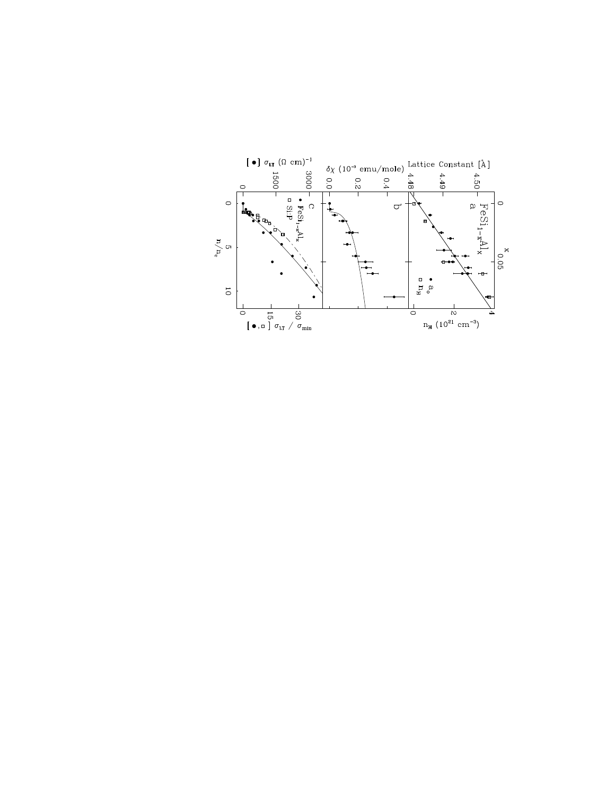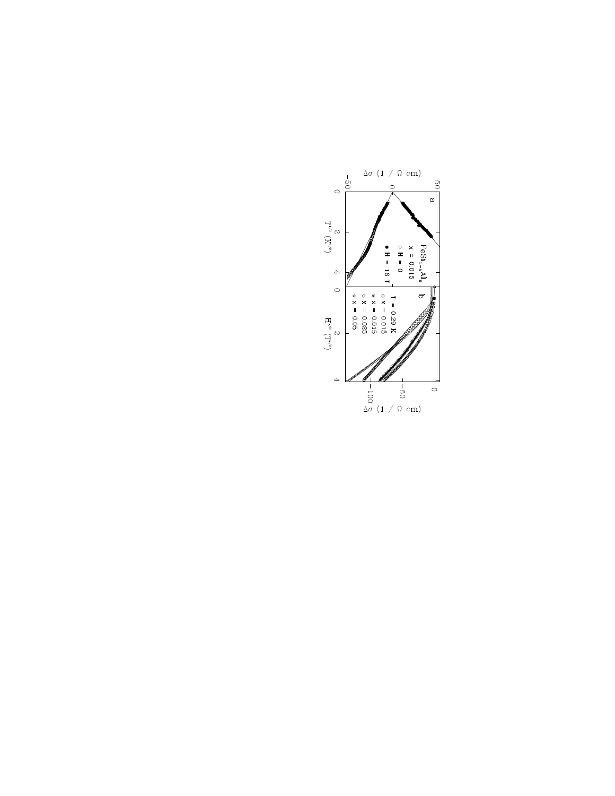